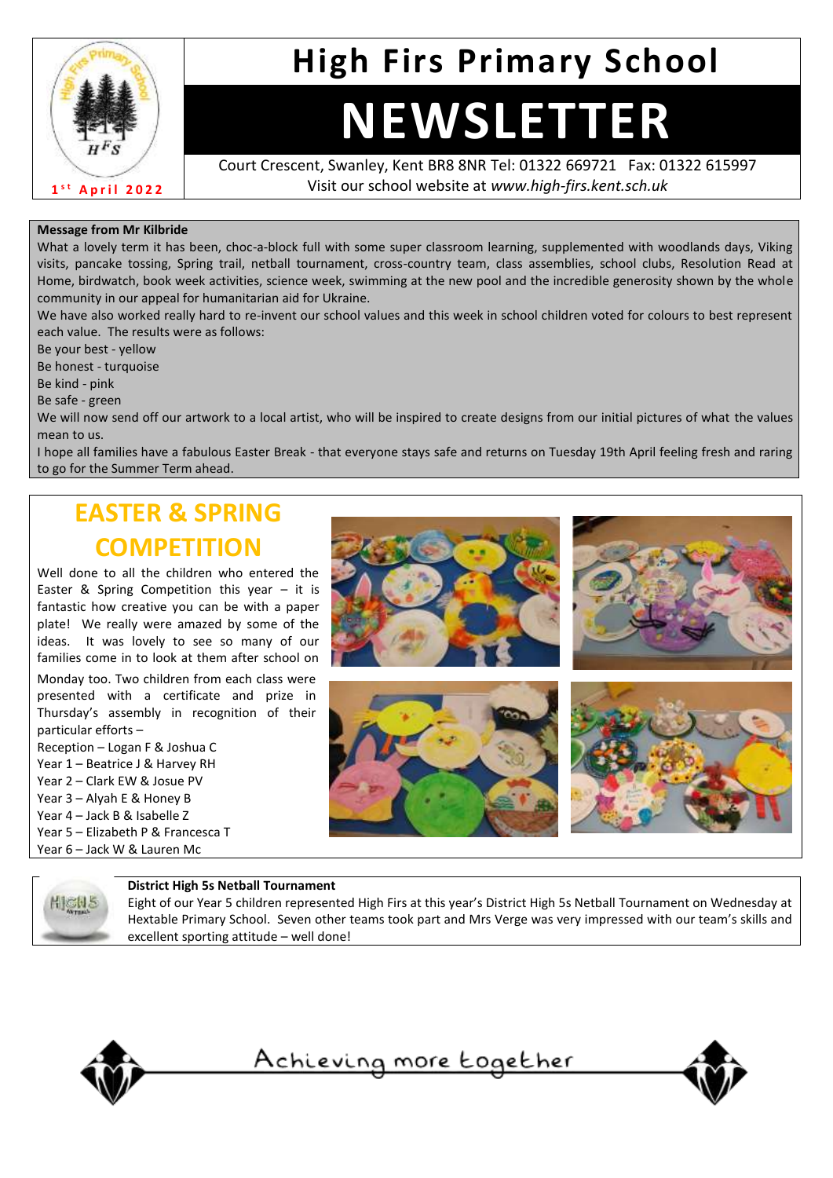

## **High Firs Primary School**

# **NEWSLETTER**

Court Crescent, Swanley, Kent BR8 8NR Tel: 01322 669721 Fax: 01322 615997 Visit our school website at *www.high-firs.kent.sch.uk*

#### **Message from Mr Kilbride**

What a lovely term it has been, choc-a-block full with some super classroom learning, supplemented with woodlands days, Viking visits, pancake tossing, Spring trail, netball tournament, cross-country team, class assemblies, school clubs, Resolution Read at Home, birdwatch, book week activities, science week, swimming at the new pool and the incredible generosity shown by the whole community in our appeal for humanitarian aid for Ukraine.

We have also worked really hard to re-invent our school values and this week in school children voted for colours to best represent each value. The results were as follows:

Be your best - yellow

Be honest - turquoise

Be kind - pink

Be safe - green

We will now send off our artwork to a local artist, who will be inspired to create designs from our initial pictures of what the values mean to us.

I hope all families have a fabulous Easter Break - that everyone stays safe and returns on Tuesday 19th April feeling fresh and raring to go for the Summer Term ahead.

## **EASTER & SPRING COMPETITION**

Well done to all the children who entered the Easter & Spring Competition this year – it is fantastic how creative you can be with a paper plate! We really were amazed by some of the ideas. It was lovely to see so many of our families come in to look at them after school on

Monday too. Two children from each class were presented with a certificate and prize in Thursday's assembly in recognition of their particular efforts –

Reception – Logan F & Joshua C Year 1 – Beatrice J & Harvey RH Year 2 – Clark EW & Josue PV Year 3 – Alyah E & Honey B Year 4 – Jack B & Isabelle Z Year 5 – Elizabeth P & Francesca T Year 6 – Jack W & Lauren Mc





#### **District High 5s Netball Tournament**

Eight of our Year 5 children represented High Firs at this year's District High 5s Netball Tournament on Wednesday at Hextable Primary School. Seven other teams took part and Mrs Verge was very impressed with our team's skills and excellent sporting attitude – well done!



**HIGH?** 

<u>Achieving more together</u>

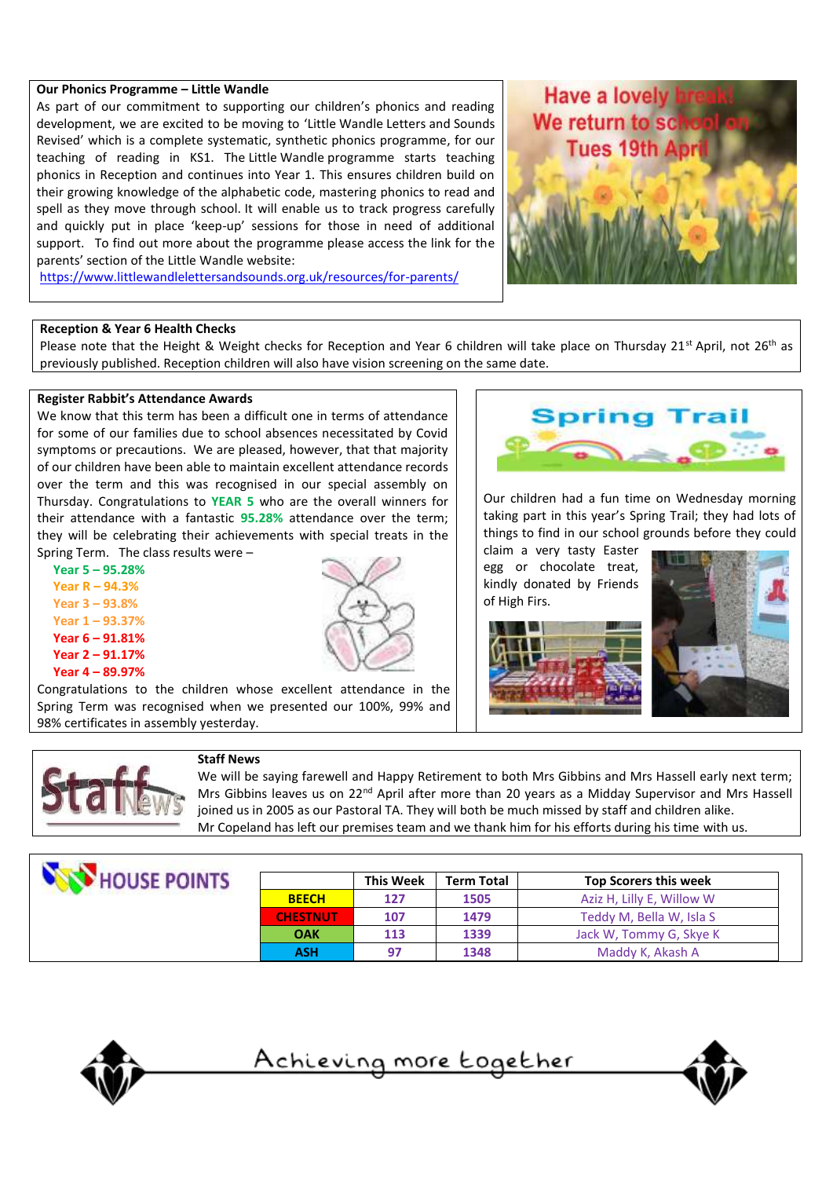#### **Our Phonics Programme – Little Wandle**

As part of our commitment to supporting our children's phonics and reading development, we are excited to be moving to 'Little Wandle Letters and Sounds Revised' which is a complete systematic, synthetic phonics programme, for our teaching of reading in KS1. The Little Wandle programme starts teaching phonics in Reception and continues into Year 1. This ensures children build on their growing knowledge of the alphabetic code, mastering phonics to read and spell as they move through school. It will enable us to track progress carefully and quickly put in place 'keep-up' sessions for those in need of additional support. To find out more about the programme please access the link for the parents' section of the Little Wandle website:



<https://www.littlewandlelettersandsounds.org.uk/resources/for-parents/>

#### **Reception & Year 6 Health Checks**

Please note that the Height & Weight checks for Reception and Year 6 children will take place on Thursday 21<sup>st</sup> April, not 26<sup>th</sup> as previously published. Reception children will also have vision screening on the same date.

#### **Register Rabbit's Attendance Awards**

We know that this term has been a difficult one in terms of attendance for some of our families due to school absences necessitated by Covid symptoms or precautions. We are pleased, however, that that majority of our children have been able to maintain excellent attendance records over the term and this was recognised in our special assembly on Thursday. Congratulations to **YEAR 5** who are the overall winners for their attendance with a fantastic **95.28%** attendance over the term; they will be celebrating their achievements with special treats in the Spring Term. The class results were –

 **Year 5 – 95.28% Year R – 94.3% Year 3 – 93.8% Year 1 – 93.37% Year 6 – 91.81% Year 2 – 91.17% Year 4 – 89.97%**



Spring Trail

Our children had a fun time on Wednesday morning taking part in this year's Spring Trail; they had lots of things to find in our school grounds before they could

claim a very tasty Easter egg or chocolate treat, kindly donated by Friends of High Firs.







98% certificates in assembly yesterday.

#### **Staff News**

Spring Term was recognised when we presented our 100%, 99% and

We will be saying farewell and Happy Retirement to both Mrs Gibbins and Mrs Hassell early next term; Mrs Gibbins leaves us on 22<sup>nd</sup> April after more than 20 years as a Midday Supervisor and Mrs Hassell joined us in 2005 as our Pastoral TA. They will both be much missed by staff and children alike. Mr Copeland has left our premises team and we thank him for his efforts during his time with us.

| HOUSE POINTS |                 | <b>This Week</b> | <b>Term Total</b> | <b>Top Scorers this week</b> |
|--------------|-----------------|------------------|-------------------|------------------------------|
|              | <b>BEECH</b>    | 127              | 1505              | Aziz H, Lilly E, Willow W    |
|              | <b>CHESTNUT</b> | 107              | 1479              | Teddy M, Bella W, Isla S     |
|              | <b>OAK</b>      | 113              | 1339              | Jack W, Tommy G, Skye K      |
|              | <b>ASH</b>      | 97               | 1348              | Maddy K, Akash A             |



<u>Achieving more together</u>

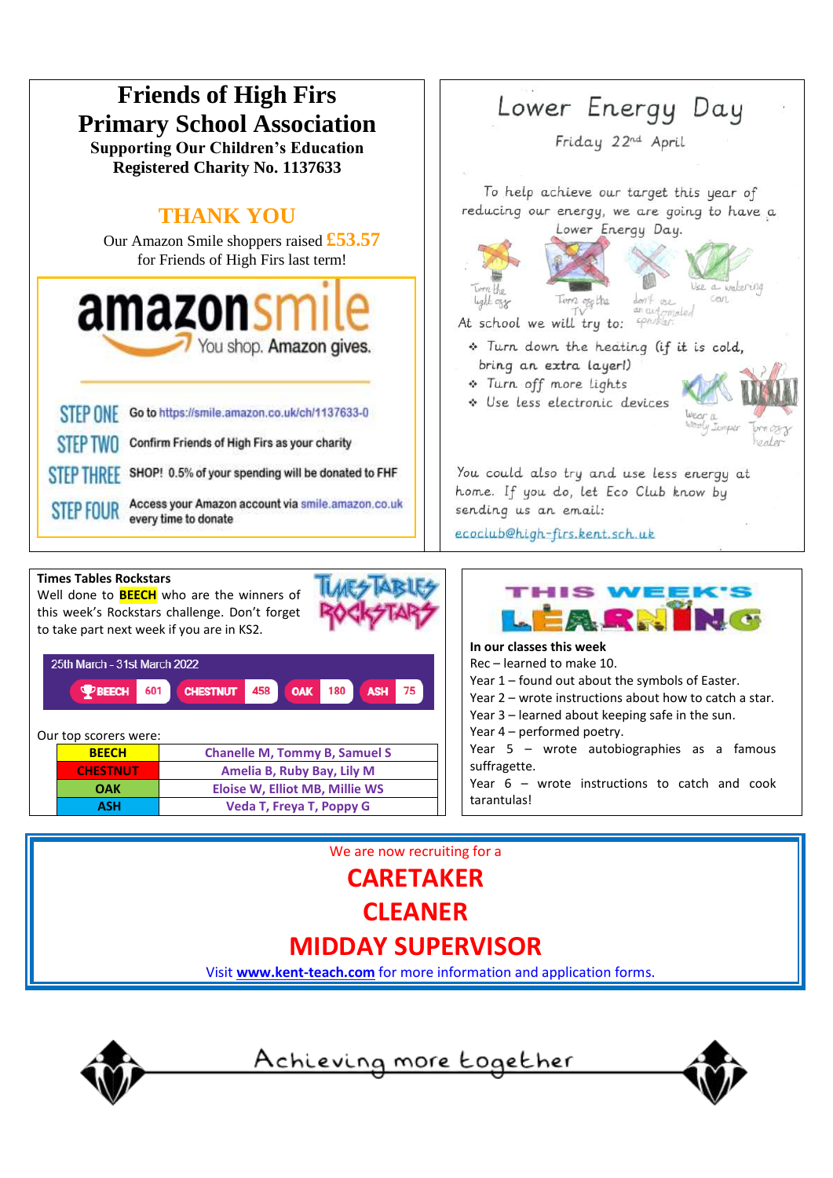

We are now recruiting for a **CARETAKER CLEANER**

### **MIDDAY SUPERVISOR**

Visit **[www.kent-teach.com](http://www.kent-teach.com/)** for more information and application forms.



<u>Achieving more together</u>